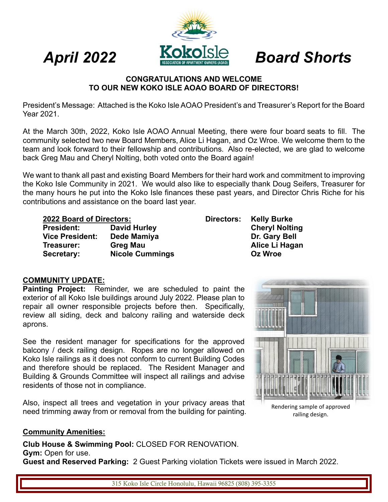

## *April 2022 Board Shorts*

#### **CONGRATULATIONS AND WELCOME TO OUR NEW KOKO ISLE AOAO BOARD OF DIRECTORS!**

President's Message: Attached is the Koko Isle AOAO President's and Treasurer's Report for the Board Year 2021.

At the March 30th, 2022, Koko Isle AOAO Annual Meeting, there were four board seats to fill. The community selected two new Board Members, Alice Li Hagan, and Oz Wroe. We welcome them to the team and look forward to their fellowship and contributions. Also re-elected, we are glad to welcome back Greg Mau and Cheryl Nolting, both voted onto the Board again!

We want to thank all past and existing Board Members for their hard work and commitment to improving the Koko Isle Community in 2021. We would also like to especially thank Doug Seifers, Treasurer for the many hours he put into the Koko Isle finances these past years, and Director Chris Riche for his contributions and assistance on the board last year.

|                        | <b>2022 Board of Directors:</b> |  |
|------------------------|---------------------------------|--|
| President <sup>.</sup> | David I                         |  |

| President:             | David Hurley           | <b>Cheryl Nolting</b> |
|------------------------|------------------------|-----------------------|
| <b>Vice President:</b> | Dede Mamiya            | Dr. Gary Bell         |
| Treasurer:             | Greg Mau               | Alice Li Hagan        |
| Secretary:             | <b>Nicole Cummings</b> | Oz Wroe               |

**2022 Board of Directors: Directors: Kelly Burke Cheryl Nolting** 

### **COMMUNITY UPDATE:**

**Painting Project:** Reminder, we are scheduled to paint the exterior of all Koko Isle buildings around July 2022. Please plan to repair all owner responsible projects before then. Specifically, review all siding, deck and balcony railing and waterside deck aprons.

See the resident manager for specifications for the approved balcony / deck railing design. Ropes are no longer allowed on Koko Isle railings as it does not conform to current Building Codes and therefore should be replaced. The Resident Manager and Building & Grounds Committee will inspect all railings and advise residents of those not in compliance.

Also, inspect all trees and vegetation in your privacy areas that need trimming away from or removal from the building for painting.



Rendering sample of approved railing design.

#### **Community Amenities:**

**Club House & Swimming Pool:** CLOSED FOR RENOVATION.

#### **Gym:** Open for use.

**Guest and Reserved Parking:** 2 Guest Parking violation Tickets were issued in March 2022.

315 Koko Isle Circle Honolulu, Hawaii 96825 (808) 395-3355